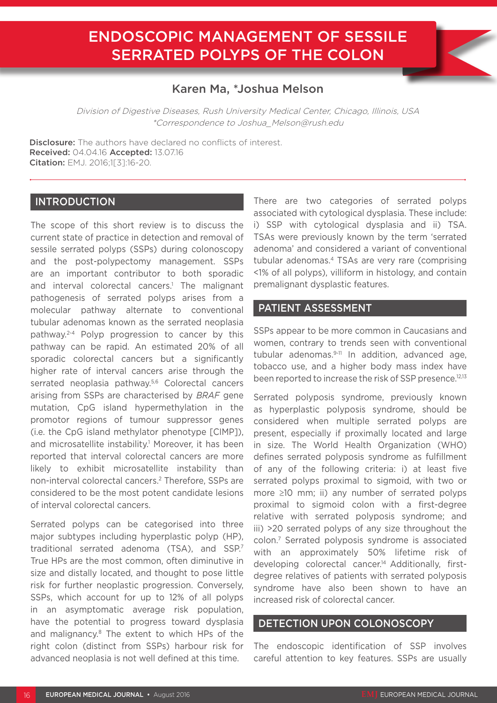# ENDOSCOPIC MANAGEMENT OF SESSILE SERRATED POLYPS OF THE COLON

## Karen Ma, \*Joshua Melson

Division of Digestive Diseases, Rush University Medical Center, Chicago, Illinois, USA \*Correspondence to Joshua\_Melson@rush.edu

**Disclosure:** The authors have declared no conflicts of interest. Received: 04.04.16 Accepted: 13.07.16 Citation: EMJ. 2016;1[3]:16-20.

## INTRODUCTION

The scope of this short review is to discuss the current state of practice in detection and removal of sessile serrated polyps (SSPs) during colonoscopy and the post-polypectomy management. SSPs are an important contributor to both sporadic and interval colorectal cancers.<sup>1</sup> The malignant pathogenesis of serrated polyps arises from a molecular pathway alternate to conventional tubular adenomas known as the serrated neoplasia pathway.2-4 Polyp progression to cancer by this pathway can be rapid. An estimated 20% of all sporadic colorectal cancers but a significantly higher rate of interval cancers arise through the serrated neoplasia pathway.<sup>5,6</sup> Colorectal cancers arising from SSPs are characterised by *BRAF* gene mutation, CpG island hypermethylation in the promotor regions of tumour suppressor genes (i.e. the CpG island methylator phenotype [CIMP]), and microsatellite instability.<sup>1</sup> Moreover, it has been reported that interval colorectal cancers are more likely to exhibit microsatellite instability than non-interval colorectal cancers.2 Therefore, SSPs are considered to be the most potent candidate lesions of interval colorectal cancers.

Serrated polyps can be categorised into three major subtypes including hyperplastic polyp (HP), traditional serrated adenoma (TSA), and SSP.7 True HPs are the most common, often diminutive in size and distally located, and thought to pose little risk for further neoplastic progression. Conversely, SSPs, which account for up to 12% of all polyps in an asymptomatic average risk population, have the potential to progress toward dysplasia and malignancy.<sup>8</sup> The extent to which HPs of the right colon (distinct from SSPs) harbour risk for advanced neoplasia is not well defined at this time.

There are two categories of serrated polyps associated with cytological dysplasia. These include: i) SSP with cytological dysplasia and ii) TSA. TSAs were previously known by the term 'serrated adenoma' and considered a variant of conventional tubular adenomas.<sup>4</sup> TSAs are very rare (comprising <1% of all polyps), villiform in histology, and contain premalignant dysplastic features.

## PATIENT ASSESSMENT

SSPs appear to be more common in Caucasians and women, contrary to trends seen with conventional tubular adenomas. $9-11$  In addition, advanced age, tobacco use, and a higher body mass index have been reported to increase the risk of SSP presence.<sup>12,13</sup>

Serrated polyposis syndrome, previously known as hyperplastic polyposis syndrome, should be considered when multiple serrated polyps are present, especially if proximally located and large in size. The World Health Organization (WHO) defines serrated polyposis syndrome as fulfillment of any of the following criteria: i) at least five serrated polyps proximal to sigmoid, with two or more ≥10 mm; ii) any number of serrated polyps proximal to sigmoid colon with a first-degree relative with serrated polyposis syndrome; and iii) >20 serrated polyps of any size throughout the colon.7 Serrated polyposis syndrome is associated with an approximately 50% lifetime risk of developing colorectal cancer.14 Additionally, firstdegree relatives of patients with serrated polyposis syndrome have also been shown to have an increased risk of colorectal cancer.

### DETECTION UPON COLONOSCOPY

The endoscopic identification of SSP involves careful attention to key features. SSPs are usually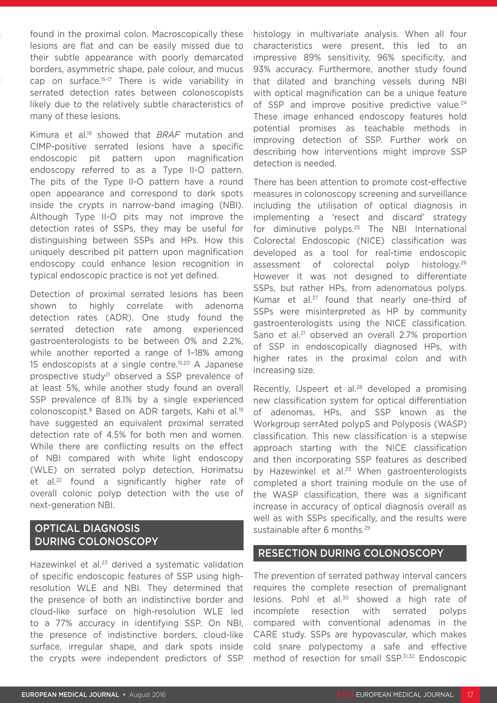found in the proximal colon. Macroscopically these lesions are flat and can be easily missed due to their subtle appearance with poorly demarcated borders, asymmetric shape, pale colour, and mucus cap on surface.<sup>15-17</sup> There is wide variability in serrated detection rates between colonoscopists likely due to the relatively subtle characteristics of many of these lesions.

Kimura et al.18 showed that *BRAF* mutation and CIMP-positive serrated lesions have a specific endoscopic pit pattern upon magnification endoscopy referred to as a Type II-O pattern. The pits of the Type II-O pattern have a round open appearance and correspond to dark spots inside the crypts in narrow-band imaging (NBI). Although Type II-O pits may not improve the detection rates of SSPs, they may be useful for distinguishing between SSPs and HPs. How this uniquely described pit pattern upon magnification endoscopy could enhance lesion recognition in typical endoscopic practice is not yet defined.

Detection of proximal serrated lesions has been shown to highly correlate with adenoma detection rates (ADR). One study found the serrated detection rate among experienced gastroenterologists to be between 0% and 2.2%, while another reported a range of 1–18% among 15 endoscopists at a single centre.<sup>19,20</sup> A Japanese prospective study<sup>21</sup> observed a SSP prevalence of at least 5%, while another study found an overall SSP prevalence of 8.1% by a single experienced colonoscopist.8 Based on ADR targets, Kahi et al.19 have suggested an equivalent proximal serrated detection rate of 4.5% for both men and women. While there are conflicting results on the effect of NBI compared with white light endoscopy (WLE) on serrated polyp detection, Horimatsu et al.<sup>22</sup> found a significantly higher rate of overall colonic polyp detection with the use of next-generation NBI.

## OPTICAL DIAGNOSIS DURING COLONOSCOPY

Hazewinkel et al.<sup>23</sup> derived a systematic validation of specific endoscopic features of SSP using highresolution WLE and NBI. They determined that the presence of both an indistinctive border and cloud-like surface on high-resolution WLE led to a 77% accuracy in identifying SSP. On NBI, the presence of indistinctive borders, cloud-like surface, irregular shape, and dark spots inside the crypts were independent predictors of SSP histology in multivariate analysis. When all four characteristics were present, this led to an impressive 89% sensitivity, 96% specificity, and 93% accuracy. Furthermore, another study found that dilated and branching vessels during NBI with optical magnification can be a unique feature of SSP and improve positive predictive value.<sup>24</sup> These image enhanced endoscopy features hold potential promises as teachable methods in improving detection of SSP. Further work on describing how interventions might improve SSP detection is needed.

There has been attention to promote cost-effective measures in colonoscopy screening and surveillance including the utilisation of optical diagnosis in implementing a 'resect and discard' strategy for diminutive polyps.25 The NBI International Colorectal Endoscopic (NICE) classification was developed as a tool for real-time endoscopic assessment of colorectal polyp histology.26 However it was not designed to differentiate SSPs, but rather HPs, from adenomatous polyps. Kumar et al.27 found that nearly one-third of SSPs were misinterpreted as HP by community gastroenterologists using the NICE classification. Sano et al.<sup>21</sup> observed an overall 2.7% proportion of SSP in endoscopically diagnosed HPs, with higher rates in the proximal colon and with increasing size.

Recently, IJspeert et al.<sup>28</sup> developed a promising new classification system for optical differentiation of adenomas, HPs, and SSP known as the Workgroup serrAted polypS and Polyposis (WASP) classification. This new classification is a stepwise approach starting with the NICE classification and then incorporating SSP features as described by Hazewinkel et al.<sup>23</sup> When gastroenterologists completed a short training module on the use of the WASP classification, there was a significant increase in accuracy of optical diagnosis overall as well as with SSPs specifically, and the results were sustainable after 6 months.<sup>29</sup>

## RESECTION DURING COLONOSCOPY

The prevention of serrated pathway interval cancers requires the complete resection of premalignant lesions. Pohl et al.<sup>30</sup> showed a high rate of incomplete resection with serrated polyps compared with conventional adenomas in the CARE study. SSPs are hypovascular, which makes cold snare polypectomy a safe and effective method of resection for small SSP.<sup>31,32</sup> Endoscopic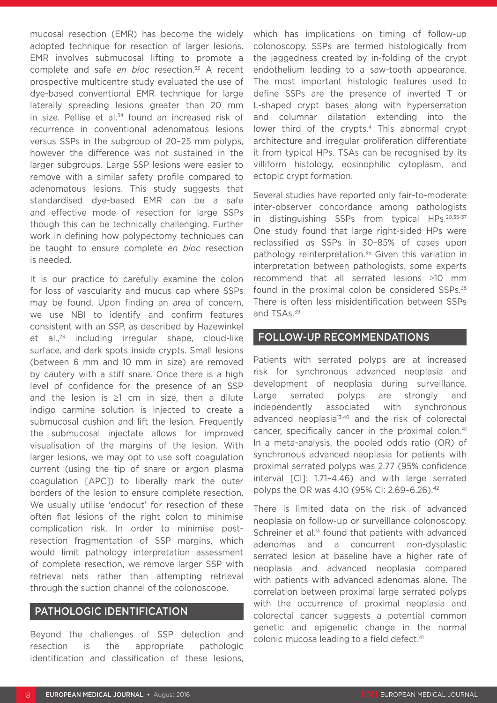mucosal resection (EMR) has become the widely adopted technique for resection of larger lesions. EMR involves submucosal lifting to promote a complete and safe *en bloc* resection.33 A recent prospective multicentre study evaluated the use of dye-based conventional EMR technique for large laterally spreading lesions greater than 20 mm in size. Pellise et al.<sup>34</sup> found an increased risk of recurrence in conventional adenomatous lesions versus SSPs in the subgroup of 20–25 mm polyps, however the difference was not sustained in the larger subgroups. Large SSP lesions were easier to remove with a similar safety profile compared to adenomatous lesions. This study suggests that standardised dye-based EMR can be a safe and effective mode of resection for large SSPs though this can be technically challenging. Further work in defining how polypectomy techniques can be taught to ensure complete *en bloc* resection is needed.

It is our practice to carefully examine the colon for loss of vascularity and mucus cap where SSPs may be found. Upon finding an area of concern, we use NBI to identify and confirm features consistent with an SSP, as described by Hazewinkel et al.,23 including irregular shape, cloud-like surface, and dark spots inside crypts. Small lesions (between 6 mm and 10 mm in size) are removed by cautery with a stiff snare. Once there is a high level of confidence for the presence of an SSP and the lesion is ≥1 cm in size, then a dilute indigo carmine solution is injected to create a submucosal cushion and lift the lesion. Frequently the submucosal injectate allows for improved visualisation of the margins of the lesion. With larger lesions, we may opt to use soft coagulation current (using the tip of snare or argon plasma coagulation [APC]) to liberally mark the outer borders of the lesion to ensure complete resection. We usually utilise 'endocut' for resection of these often flat lesions of the right colon to minimise complication risk. In order to minimise postresection fragmentation of SSP margins, which would limit pathology interpretation assessment of complete resection, we remove larger SSP with retrieval nets rather than attempting retrieval through the suction channel of the colonoscope.

#### PATHOLOGIC IDENTIFICATION

Beyond the challenges of SSP detection and resection is the appropriate pathologic identification and classification of these lesions, which has implications on timing of follow-up colonoscopy. SSPs are termed histologically from the jaggedness created by in-folding of the crypt endothelium leading to a saw-tooth appearance. The most important histologic features used to define SSPs are the presence of inverted T or L-shaped crypt bases along with hyperserration and columnar dilatation extending into the lower third of the crypts.<sup>4</sup> This abnormal crypt architecture and irregular proliferation differentiate it from typical HPs. TSAs can be recognised by its villiform histology, eosinophilic cytoplasm, and ectopic crypt formation.

Several studies have reported only fair-to-moderate inter-observer concordance among pathologists in distinguishing SSPs from typical HPs.20,35-37 One study found that large right-sided HPs were reclassified as SSPs in 30–85% of cases upon pathology reinterpretation.35 Given this variation in interpretation between pathologists, some experts recommend that all serrated lesions ≥10 mm found in the proximal colon be considered SSPs.<sup>38</sup> There is often less misidentification between SSPs and TSAs.39

#### FOLLOW-UP RECOMMENDATIONS

Patients with serrated polyps are at increased risk for synchronous advanced neoplasia and development of neoplasia during surveillance. Large serrated polyps are strongly and independently associated with synchronous advanced neoplasia<sup>13,40</sup> and the risk of colorectal cancer, specifically cancer in the proximal colon.<sup>41</sup> In a meta-analysis, the pooled odds ratio (OR) of synchronous advanced neoplasia for patients with proximal serrated polyps was 2.77 (95% confidence interval [CI]: 1.71–4.46) and with large serrated polyps the OR was 4.10 (95% CI: 2.69-6.26).<sup>42</sup>

There is limited data on the risk of advanced neoplasia on follow-up or surveillance colonoscopy. Schreiner et al.<sup>13</sup> found that patients with advanced adenomas and a concurrent non-dysplastic serrated lesion at baseline have a higher rate of neoplasia and advanced neoplasia compared with patients with advanced adenomas alone. The correlation between proximal large serrated polyps with the occurrence of proximal neoplasia and colorectal cancer suggests a potential common genetic and epigenetic change in the normal colonic mucosa leading to a field defect.<sup>41</sup>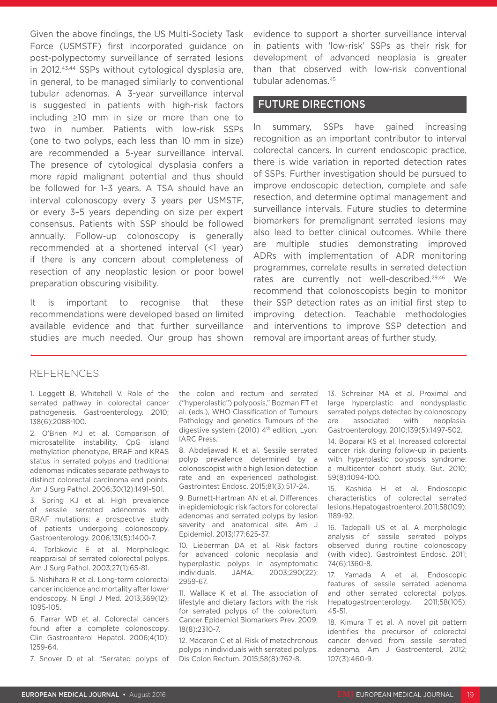Given the above findings, the US Multi-Society Task Force (USMSTF) first incorporated guidance on post-polypectomy surveillance of serrated lesions in 2012.43,44 SSPs without cytological dysplasia are, in general, to be managed similarly to conventional tubular adenomas. A 3-year surveillance interval is suggested in patients with high-risk factors including ≥10 mm in size or more than one to two in number. Patients with low-risk SSPs (one to two polyps, each less than 10 mm in size) are recommended a 5-year surveillance interval. The presence of cytological dysplasia confers a more rapid malignant potential and thus should be followed for 1–3 years. A TSA should have an interval colonoscopy every 3 years per USMSTF, or every 3–5 years depending on size per expert consensus. Patients with SSP should be followed annually. Follow-up colonoscopy is generally recommended at a shortened interval (<1 year) if there is any concern about completeness of resection of any neoplastic lesion or poor bowel preparation obscuring visibility.

It is important to recognise that these recommendations were developed based on limited available evidence and that further surveillance studies are much needed. Our group has shown

evidence to support a shorter surveillance interval in patients with 'low-risk' SSPs as their risk for development of advanced neoplasia is greater than that observed with low-risk conventional tubular adenomas.45

#### FUTURE DIRECTIONS

In summary, SSPs have gained increasing recognition as an important contributor to interval colorectal cancers. In current endoscopic practice, there is wide variation in reported detection rates of SSPs. Further investigation should be pursued to improve endoscopic detection, complete and safe resection, and determine optimal management and surveillance intervals. Future studies to determine biomarkers for premalignant serrated lesions may also lead to better clinical outcomes. While there are multiple studies demonstrating improved ADRs with implementation of ADR monitoring programmes, correlate results in serrated detection rates are currently not well-described.29,46 We recommend that colonoscopists begin to monitor their SSP detection rates as an initial first step to improving detection. Teachable methodologies and interventions to improve SSP detection and removal are important areas of further study.

#### REFERENCES

1. Leggett B, Whitehall V. Role of the serrated pathway in colorectal cancer pathogenesis. Gastroenterology. 2010; 138(6):2088-100.

2. O'Brien MJ et al. Comparison of microsatellite instability, CpG island methylation phenotype, BRAF and KRAS status in serrated polyps and traditional adenomas indicates separate pathways to distinct colorectal carcinoma end points. Am J Surg Pathol. 2006;30(12):1491-501.

3. Spring KJ et al. High prevalence of sessile serrated adenomas with BRAF mutations: a prospective study of patients undergoing colonoscopy. Gastroenterology. 2006;131(5):1400-7.

4. Torlakovic E et al. Morphologic reappraisal of serrated colorectal polyps. Am J Surg Pathol. 2003;27(1):65-81.

5. Nishihara R et al. Long-term colorectal cancer incidence and mortality after lower endoscopy. N Engl J Med. 2013;369(12): 1095-105.

6. Farrar WD et al. Colorectal cancers found after a complete colonoscopy. Clin Gastroenterol Hepatol. 2006;4(10): 1259-64.

7. Snover D et al. "Serrated polyps of

the colon and rectum and serrated ("hyperplastic") polyposis," Bozman FT et al. (eds.), WHO Classification of Tumours Pathology and genetics Tumours of the digestive system (2010) 4<sup>th</sup> edition, Lyon: IARC Press.

8. Abdeljawad K et al. Sessile serrated polyp prevalence determined by a colonoscopist with a high lesion detection rate and an experienced pathologist. Gastrointest Endosc. 2015;81(3):517-24.

9. Burnett-Hartman AN et al. Differences in epidemiologic risk factors for colorectal adenomas and serrated polyps by lesion severity and anatomical site. Am J Epidemiol. 2013;177:625-37.

10. Lieberman DA et al. Risk factors for advanced colonic neoplasia and hyperplastic polyps in asymptomatic individuals. JAMA. 2003;290(22): 2959-67.

11. Wallace K et al. The association of lifestyle and dietary factors with the risk for serrated polyps of the colorectum. Cancer Epidemiol Biomarkers Prev. 2009; 18(8):2310-7.

12. Macaron C et al. Risk of metachronous polyps in individuals with serrated polyps. Dis Colon Rectum. 2015;58(8):762-8.

13. Schreiner MA et al. Proximal and large hyperplastic and nondysplastic serrated polyps detected by colonoscopy are associated with neoplasia. Gastroenterology. 2010;139(5):1497-502.

14. Boparai KS et al. Increased colorectal cancer risk during follow-up in patients with hyperplastic polyposis syndrome: a multicenter cohort study. Gut. 2010; 59(8):1094-100.

15. Kashida H et al. Endoscopic characteristics of colorectal serrated lesions. Hepatogastroenterol. 2011;58(109): 1189-92.

16. Tadepalli US et al. A morphologic analysis of sessile serrated polyps observed during routine colonoscopy (with video). Gastrointest Endosc. 2011; 74(6):1360-8.

17. Yamada A et al. Endoscopic features of sessile serrated adenoma and other serrated colorectal polyps. Hepatogastroenterology. 2011;58(105): 45-51.

18. Kimura T et al. A novel pit pattern identifies the precursor of colorectal cancer derived from sessile serrated adenoma. Am J Gastroenterol. 2012; 107(3):460-9.